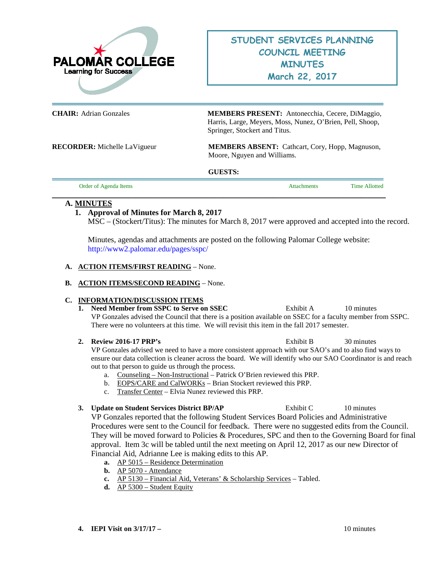

**CHAIR:** Adrian Gonzales **MEMBERS PRESENT:** Antonecchia, Cecere, DiMaggio, Harris, Large, Meyers, Moss, Nunez, O'Brien, Pell, Shoop, Springer, Stockert and Titus.

**RECORDER:** Michelle LaVigueur **MEMBERS ABSENT:** Cathcart, Cory, Hopp, Magnuson, Moore, Nguyen and Williams.

### **GUESTS:**

| Order of Agenda Items | Attachments | <b>Time Allotted</b> |
|-----------------------|-------------|----------------------|
|                       |             |                      |

# **A. MINUTES**

# **1. Approval of Minutes for March 8, 2017**

MSC – (Stockert/Titus): The minutes for March 8, 2017 were approved and accepted into the record.

Minutes, agendas and attachments are posted on the following Palomar College website: <http://www2.palomar.edu/pages/sspc/>

## **A. ACTION ITEMS/FIRST READING** – None.

## **B. ACTION ITEMS/SECOND READING** – None.

## **C. INFORMATION/DISCUSSION ITEMS**

**1. Need Member from SSPC to Serve on SSEC** Exhibit A 10 minutes VP Gonzales advised the Council that there is a position available on SSEC for a faculty member from SSPC. There were no volunteers at this time. We will revisit this item in the fall 2017 semester.

**2. Review 2016-17 PRP's** Exhibit B 30 minutes VP Gonzales advised we need to have a more consistent approach with our SAO's and to also find ways to ensure our data collection is cleaner across the board. We will identify who our SAO Coordinator is and reach out to that person to guide us through the process.

- a. Counseling Non-Instructional Patrick O'Brien reviewed this PRP.
- b. EOPS/CARE and CalWORKs Brian Stockert reviewed this PRP.
- c. Transfer Center Elvia Nunez reviewed this PRP.

# **3. Update on Student Services District BP/AP** Exhibit C 10 minutes VP Gonzales reported that the following Student Services Board Policies and Administrative Procedures were sent to the Council for feedback. There were no suggested edits from the Council. They will be moved forward to Policies & Procedures, SPC and then to the Governing Board for final approval. Item 3c will be tabled until the next meeting on April 12, 2017 as our new Director of Financial Aid, Adrianne Lee is making edits to this AP.

- **a.** AP 5015 Residence Determination
- **b.** AP 5070 Attendance
- **c.** AP 5130 Financial Aid, Veterans' & Scholarship Services Tabled.
- **d.** AP 5300 Student Equity